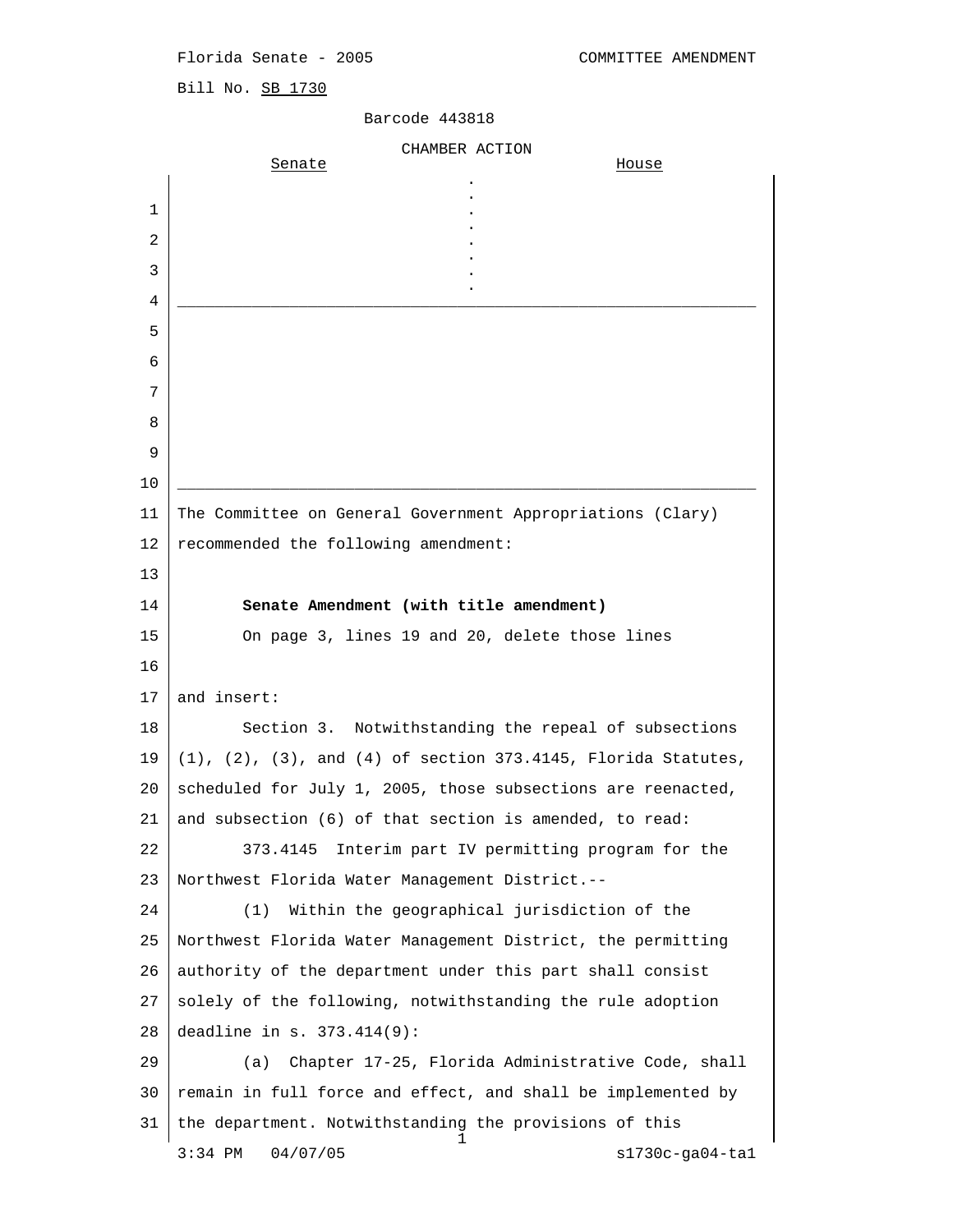Florida Senate - 2005 COMMITTEE AMENDMENT

Bill No. SB 1730

## Barcode 443818

|    | CHAMBER ACTION                                                           |
|----|--------------------------------------------------------------------------|
|    | Senate<br><u>House</u>                                                   |
| 1  |                                                                          |
| 2  |                                                                          |
| 3  |                                                                          |
| 4  |                                                                          |
| 5  |                                                                          |
| 6  |                                                                          |
| 7  |                                                                          |
| 8  |                                                                          |
| 9  |                                                                          |
| 10 |                                                                          |
| 11 | The Committee on General Government Appropriations (Clary)               |
| 12 | recommended the following amendment:                                     |
| 13 |                                                                          |
| 14 | Senate Amendment (with title amendment)                                  |
| 15 | On page 3, lines 19 and 20, delete those lines                           |
| 16 |                                                                          |
| 17 | and insert:                                                              |
| 18 | Section 3. Notwithstanding the repeal of subsections                     |
| 19 | $(1)$ , $(2)$ , $(3)$ , and $(4)$ of section 373.4145, Florida Statutes, |
| 20 | scheduled for July 1, 2005, those subsections are reenacted,             |
| 21 | and subsection (6) of that section is amended, to read:                  |
| 22 | Interim part IV permitting program for the<br>373.4145                   |
| 23 | Northwest Florida Water Management District.--                           |
| 24 | Within the geographical jurisdiction of the<br>(1)                       |
| 25 | Northwest Florida Water Management District, the permitting              |
| 26 | authority of the department under this part shall consist                |
| 27 | solely of the following, notwithstanding the rule adoption               |
| 28 | deadline in s. 373.414(9):                                               |
| 29 | Chapter 17-25, Florida Administrative Code, shall<br>(a)                 |
| 30 | remain in full force and effect, and shall be implemented by             |
| 31 | the department. Notwithstanding the provisions of this<br>ı              |
|    | 04/07/05<br>$s1730c-ga04-ta1$<br>$3:34$ PM                               |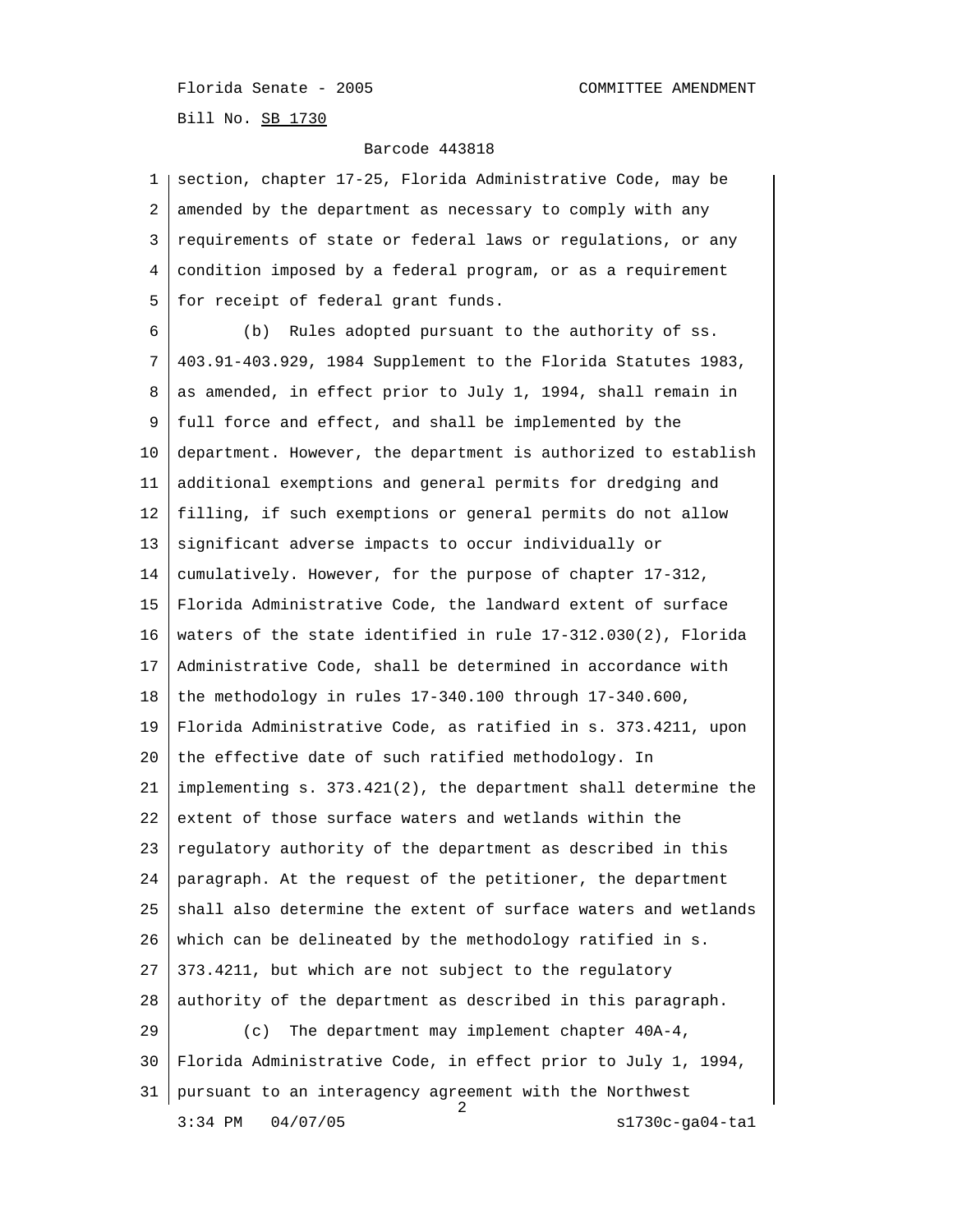Florida Senate - 2005 COMMITTEE AMENDMENT Bill No. SB 1730

Barcode 443818

| 1  | section, chapter 17-25, Florida Administrative Code, may be       |
|----|-------------------------------------------------------------------|
| 2  | amended by the department as necessary to comply with any         |
| 3  | requirements of state or federal laws or regulations, or any      |
| 4  | condition imposed by a federal program, or as a requirement       |
| 5  | for receipt of federal grant funds.                               |
| 6  | Rules adopted pursuant to the authority of ss.<br>(b)             |
| 7  | 403.91-403.929, 1984 Supplement to the Florida Statutes 1983,     |
| 8  | as amended, in effect prior to July 1, 1994, shall remain in      |
| 9  | full force and effect, and shall be implemented by the            |
| 10 | department. However, the department is authorized to establish    |
| 11 | additional exemptions and general permits for dredging and        |
| 12 | filling, if such exemptions or general permits do not allow       |
| 13 | significant adverse impacts to occur individually or              |
| 14 | cumulatively. However, for the purpose of chapter 17-312,         |
| 15 | Florida Administrative Code, the landward extent of surface       |
| 16 | waters of the state identified in rule 17-312.030(2), Florida     |
| 17 | Administrative Code, shall be determined in accordance with       |
| 18 | the methodology in rules 17-340.100 through 17-340.600,           |
| 19 | Florida Administrative Code, as ratified in s. 373.4211, upon     |
| 20 | the effective date of such ratified methodology. In               |
| 21 | implementing $s. 373.421(2)$ , the department shall determine the |
| 22 | extent of those surface waters and wetlands within the            |
| 23 | regulatory authority of the department as described in this       |
| 24 | paragraph. At the request of the petitioner, the department       |
| 25 | shall also determine the extent of surface waters and wetlands    |
| 26 | which can be delineated by the methodology ratified in s.         |
| 27 | 373.4211, but which are not subject to the regulatory             |
| 28 | authority of the department as described in this paragraph.       |
| 29 | The department may implement chapter 40A-4,<br>(c)                |
| 30 | Florida Administrative Code, in effect prior to July 1, 1994,     |
| 31 | pursuant to an interagency agreement with the Northwest<br>2      |
|    | $3:34$ PM<br>04/07/05<br>$s1730c-ga04-ta1$                        |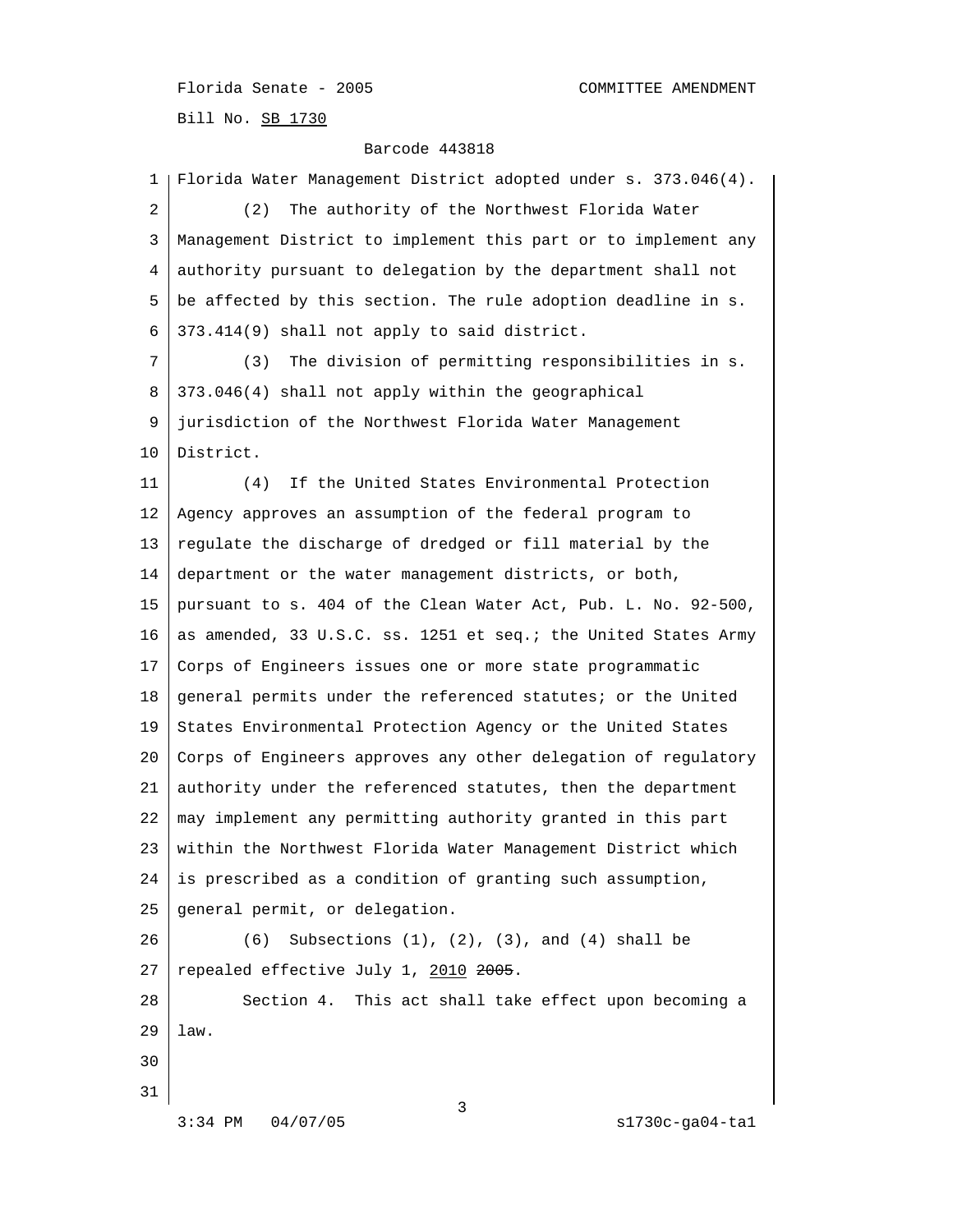Florida Senate - 2005 COMMITTEE AMENDMENT Bill No. SB 1730

## Barcode 443818

 1 Florida Water Management District adopted under s. 373.046(4). 2 (2) The authority of the Northwest Florida Water 3 Management District to implement this part or to implement any 4 authority pursuant to delegation by the department shall not 5 be affected by this section. The rule adoption deadline in s. 6 373.414(9) shall not apply to said district. 7 (3) The division of permitting responsibilities in s. 8 373.046(4) shall not apply within the geographical 9 jurisdiction of the Northwest Florida Water Management 10 District. 11 (4) If the United States Environmental Protection 12 Agency approves an assumption of the federal program to 13 regulate the discharge of dredged or fill material by the 14 department or the water management districts, or both, 15 pursuant to s. 404 of the Clean Water Act, Pub. L. No. 92-500, 16 as amended, 33 U.S.C. ss. 1251 et seq.; the United States Army 17 Corps of Engineers issues one or more state programmatic 18 general permits under the referenced statutes; or the United 19 States Environmental Protection Agency or the United States 20 Corps of Engineers approves any other delegation of regulatory 21 authority under the referenced statutes, then the department 22 | may implement any permitting authority granted in this part 23 within the Northwest Florida Water Management District which 24 is prescribed as a condition of granting such assumption, 25 general permit, or delegation. 26 (6) Subsections (1), (2), (3), and (4) shall be 27 repealed effective July 1,  $2010$   $2005$ . 28 Section 4. This act shall take effect upon becoming a 29 law. 30 31  $\sim$  3